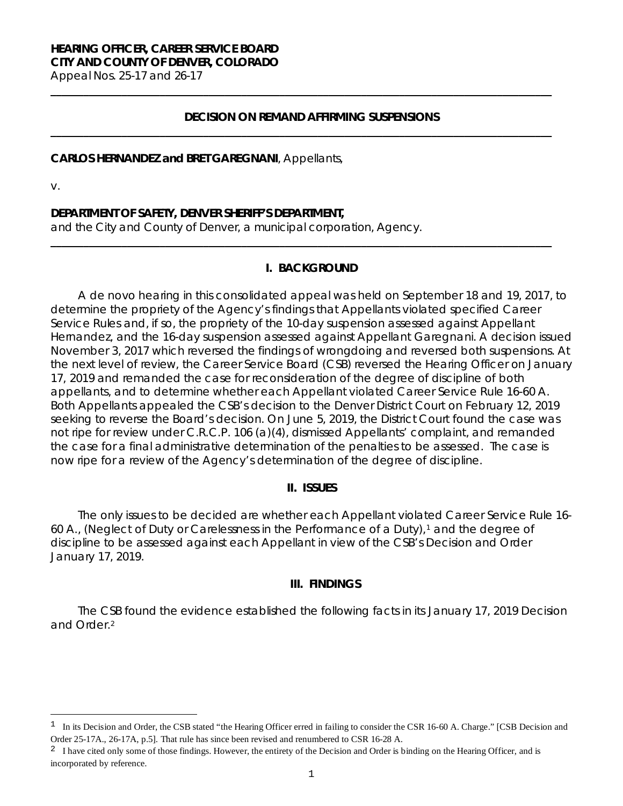# **HEARING OFFICER, CAREER SERVICE BOARD CITY AND COUNTY OF DENVER, COLORADO**

Appeal Nos. 25-17 and 26-17

### **DECISION ON REMAND AFFIRMING SUSPENSIONS**

**\_\_\_\_\_\_\_\_\_\_\_\_\_\_\_\_\_\_\_\_\_\_\_\_\_\_\_\_\_\_\_\_\_\_\_\_\_\_\_\_\_\_\_\_\_\_\_\_\_\_\_\_\_\_\_\_\_\_\_\_\_\_\_\_\_\_\_\_\_\_\_\_\_\_\_\_\_\_\_\_\_\_\_\_\_\_\_\_\_\_\_\_**

**\_\_\_\_\_\_\_\_\_\_\_\_\_\_\_\_\_\_\_\_\_\_\_\_\_\_\_\_\_\_\_\_\_\_\_\_\_\_\_\_\_\_\_\_\_\_\_\_\_\_\_\_\_\_\_\_\_\_\_\_\_\_\_\_\_\_\_\_\_\_\_\_\_\_\_\_\_\_\_\_\_\_\_\_\_\_\_\_\_\_\_\_**

### **CARLOS HERNANDEZ and BRET GAREGNANI**, Appellants,

v.

Ξ

### **DEPARTMENT OF SAFETY, DENVER SHERIFF'S DEPARTMENT,**

and the City and County of Denver, a municipal corporation, Agency.

### **I. BACKGROUND**

**\_\_\_\_\_\_\_\_\_\_\_\_\_\_\_\_\_\_\_\_\_\_\_\_\_\_\_\_\_\_\_\_\_\_\_\_\_\_\_\_\_\_\_\_\_\_\_\_\_\_\_\_\_\_\_\_\_\_\_\_\_\_\_\_\_\_\_\_\_\_\_\_\_\_\_\_\_\_\_\_\_\_\_\_\_\_\_\_\_\_\_\_**

A *de novo* hearing in this consolidated appeal was held on September 18 and 19, 2017, to determine the propriety of the Agency's findings that Appellants violated specified Career Service Rules and, if so, the propriety of the 10-day suspension assessed against Appellant Hernandez, and the 16-day suspension assessed against Appellant Garegnani. A decision issued November 3, 2017 which reversed the findings of wrongdoing and reversed both suspensions. At the next level of review, the Career Service Board (CSB) reversed the Hearing Officer on January 17, 2019 and remanded the case for reconsideration of the degree of discipline of both appellants, and to determine whether each Appellant violated Career Service Rule 16-60 A. Both Appellants appealed the CSB's decision to the Denver District Court on February 12, 2019 seeking to reverse the Board's decision. On June 5, 2019, the District Court found the case was not ripe for review under C.R.C.P. 106 (a)(4), dismissed Appellants' complaint, and remanded the case for a final administrative determination of the penalties to be assessed. The case is now ripe for a review of the Agency's determination of the degree of discipline.

#### **II. ISSUES**

The only issues to be decided are whether each Appellant violated Career Service Rule 16- 60 A., (Neglect of Duty or Carelessness in the Performance of a Duty),<sup>[1](#page-0-0)</sup> and the degree of discipline to be assessed against each Appellant in view of the CSB's Decision and Order January 17, 2019.

#### **III. FINDINGS**

The CSB found the evidence established the following facts in its January 17, 2019 Decision and Order.[2](#page-0-1)

<span id="page-0-0"></span>In its Decision and Order, the CSB stated "the Hearing Officer erred in failing to consider the CSR 16-60 A. Charge." [CSB Decision and Order 25-17A., 26-17A, p.5]. That rule has since been revised and renumbered to CSR 16-28 A.

<span id="page-0-1"></span><sup>&</sup>lt;sup>2</sup> I have cited only some of those findings. However, the entirety of the Decision and Order is binding on the Hearing Officer, and is incorporated by reference.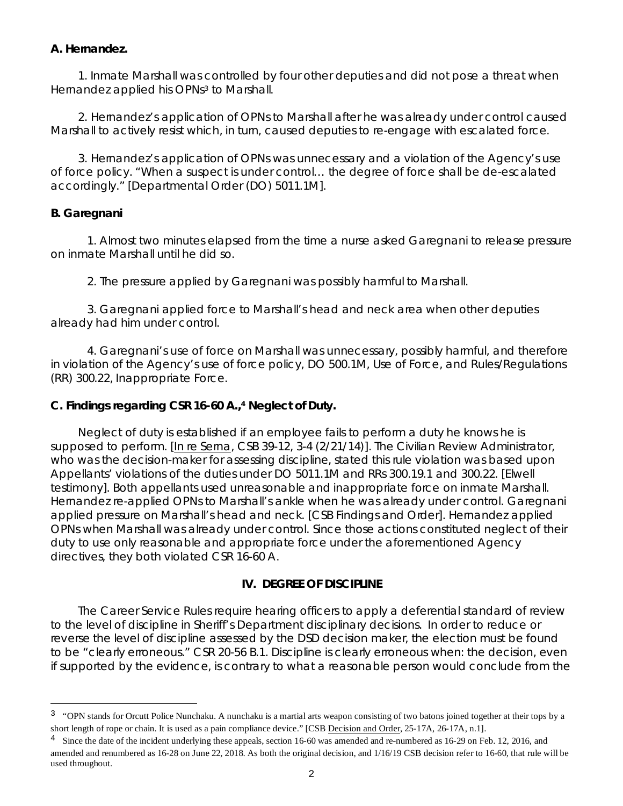### **A. Hernandez.**

1. Inmate Marshall was controlled by four other deputies and did not pose a threat when Hernandez applied his OPNs<sup>[3](#page-1-0)</sup> to Marshall.

2. Hernandez's application of OPNs to Marshall after he was already under control caused Marshall to actively resist which, in turn, caused deputies to re-engage with escalated force.

3. Hernandez's application of OPNs was unnecessary and a violation of the Agency's use of force policy. "When a suspect is under control… the degree of force shall be de-escalated accordingly." [Departmental Order (DO) 5011.1M].

# **B. Garegnani**

Ξ

1. Almost two minutes elapsed from the time a nurse asked Garegnani to release pressure on inmate Marshall until he did so.

2. The pressure applied by Garegnani was possibly harmful to Marshall.

3. Garegnani applied force to Marshall's head and neck area when other deputies already had him under control.

4. Garegnani's use of force on Marshall was unnecessary, possibly harmful, and therefore in violation of the Agency's use of force policy, DO 500.1M, Use of Force, and Rules/Regulations (RR) 300.22, Inappropriate Force.

# **C. Findings regarding CSR 16-60 A.,[4](#page-1-1) Neglect of Duty.**

Neglect of duty is established if an employee fails to perform a duty he knows he is supposed to perform. [\[In re Serna,](https://www.denvergov.org/content/dam/denvergov/Portals/hearings_office/documents/Hearings/Serna_Veronica-39-12_CSB_Decision_and_Order_Appeal.pdf) CSB 39-12, 3-4 (2/21/14)]. The Civilian Review Administrator, who was the decision-maker for assessing discipline, stated this rule violation was based upon Appellants' violations of the duties under DO 5011.1M and RRs 300.19.1 and 300.22. [Elwell testimony]. Both appellants used unreasonable and inappropriate force on inmate Marshall. Hernandez re-applied OPNs to Marshall's ankle when he was already under control. Garegnani applied pressure on Marshall's head and neck. [CSB Findings and Order]. Hernandez applied OPNs when Marshall was already under control. Since those actions constituted neglect of their duty to use only reasonable and appropriate force under the aforementioned Agency directives, they both violated CSR 16-60 A.

# **IV. DEGREE OF DISCIPLINE**

The Career Service Rules require hearing officers to apply a deferential standard of review to the level of discipline in Sheriff's Department disciplinary decisions. In order to reduce or reverse the level of discipline assessed by the DSD decision maker, the election must be found to be "clearly erroneous." CSR 20-56 B.1. Discipline is clearly erroneous when: the decision, even if supported by the evidence, is contrary to what a reasonable person would conclude from the

<span id="page-1-0"></span><sup>&</sup>lt;sup>3</sup> "OPN stands for Orcutt Police Nunchaku. A nunchaku is a martial arts weapon consisting of two batons joined together at their tops by a short length of rope or chain. It is used as a pain compliance device." [CSB Decision and Order, 25-17A, 26-17A, n.1].

<span id="page-1-1"></span><sup>&</sup>lt;sup>4</sup> Since the date of the incident underlying these appeals, section 16-60 was amended and re-numbered as 16-29 on Feb. 12, 2016, and amended and renumbered as 16-28 on June 22, 2018. As both the original decision, and 1/16/19 CSB decision refer to 16-60, that rule will be used throughout.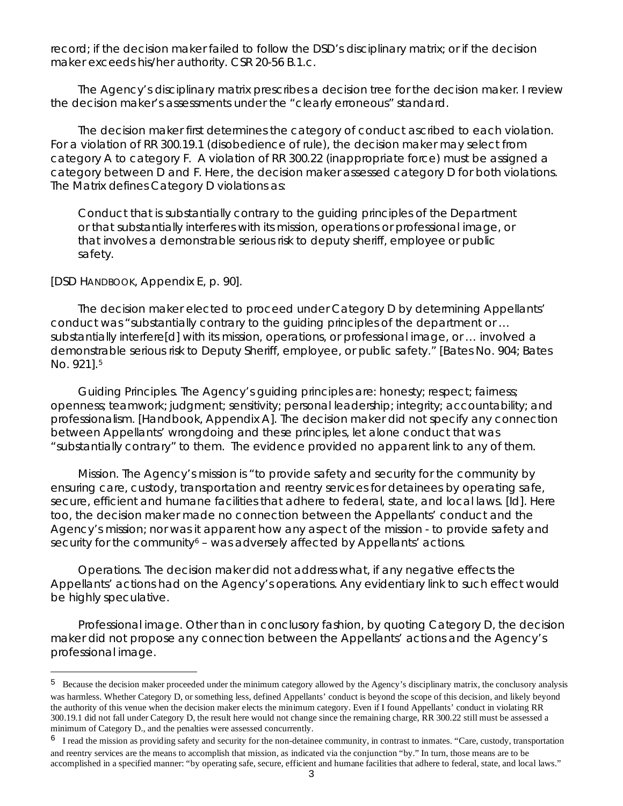record; if the decision maker failed to follow the DSD's disciplinary matrix; or if the decision maker exceeds his/her authority. CSR 20-56 B.1.c.

The Agency's disciplinary matrix prescribes a decision tree for the decision maker. I review the decision maker's assessments under the "clearly erroneous" standard.

The decision maker first determines the category of conduct ascribed to each violation. For a violation of RR 300.19.1 (disobedience of rule), the decision maker may select from category A to category F. A violation of RR 300.22 (inappropriate force) must be assigned a category between D and F. Here, the decision maker assessed category D for both violations. The Matrix defines Category D violations as:

Conduct that is substantially contrary to the guiding principles of the Department or that substantially interferes with its mission, operations or professional image, or that involves a demonstrable serious risk to deputy sheriff, employee or public safety.

[DSD HANDBOOK, Appendix E, p. 90].

Ξ

The decision maker elected to proceed under Category D by determining Appellants' conduct was "substantially contrary to the guiding principles of the department or … substantially interfere[d] with its mission, operations, or professional image, or … involved a demonstrable serious risk to Deputy Sheriff, employee, or public safety." [Bates No. 904; Bates No. 921].[5](#page-2-0)

Guiding Principles. The Agency's guiding principles are: honesty; respect; fairness; openness; teamwork; judgment; sensitivity; personal leadership; integrity; accountability; and professionalism. [Handbook, Appendix A]. The decision maker did not specify any connection between Appellants' wrongdoing and these principles, let alone conduct that was "substantially contrary" to them. The evidence provided no apparent link to any of them.

Mission. The Agency's mission is "to provide safety and security for the community by ensuring care, custody, transportation and reentry services for detainees by operating safe, secure, efficient and humane facilities that adhere to federal, state, and local laws. [*Id*]. Here too, the decision maker made no connection between the Appellants' conduct and the Agency's mission; nor was it apparent how any aspect of the mission - to provide safety and security for the community<sup>[6](#page-2-1)</sup> – was adversely affected by Appellants' actions.

Operations. The decision maker did not address what, if any negative effects the Appellants' actions had on the Agency's operations. Any evidentiary link to such effect would be highly speculative.

Professional image. Other than in conclusory fashion, by quoting Category D, the decision maker did not propose any connection between the Appellants' actions and the Agency's professional image.

<span id="page-2-0"></span><sup>5</sup> Because the decision maker proceeded under the minimum category allowed by the Agency's disciplinary matrix, the conclusory analysis was harmless. Whether Category D, or something less, defined Appellants' conduct is beyond the scope of this decision, and likely beyond the authority of this venue when the decision maker elects the minimum category. Even if I found Appellants' conduct in violating RR 300.19.1 did not fall under Category D, the result here would not change since the remaining charge, RR 300.22 still must be assessed a minimum of Category D., and the penalties were assessed concurrently.

<span id="page-2-1"></span> $6\text{ I read the mission as providing safety and security for the non-detaine community, in contrast to inmates. "Care, custody, transportation" }$ and reentry services are the means to accomplish that mission, as indicated via the conjunction "by." In turn, those means are to be accomplished in a specified manner: "by operating safe, secure, efficient and humane facilities that adhere to federal, state, and local laws."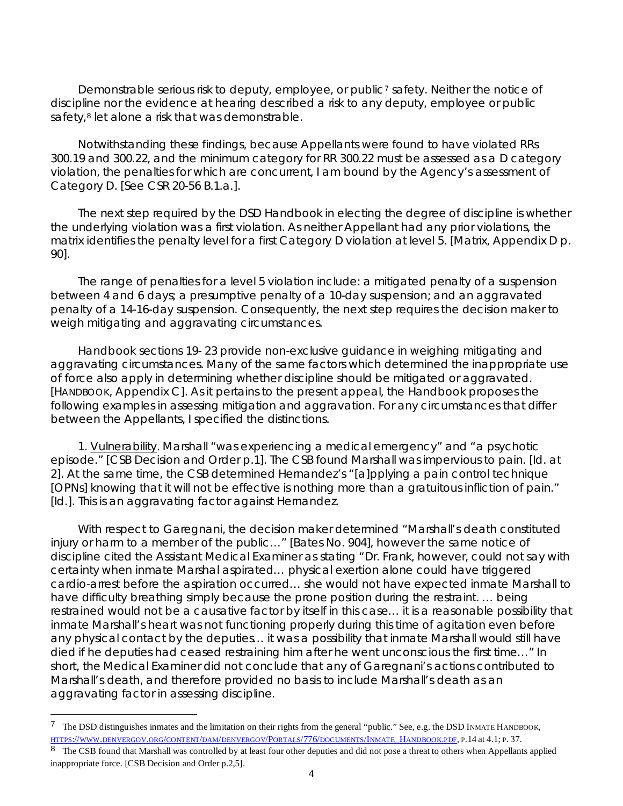Demonstrable serious risk to deputy, employee, or public<sup>[7](#page-3-0)</sup> safety. Neither the notice of discipline nor the evidence at hearing described a risk to any deputy, employee or public safety,<sup>[8](#page-3-1)</sup> let alone a risk that was demonstrable.

Notwithstanding these findings, because Appellants were found to have violated RRs 300.19 and 300.22, and the minimum category for RR 300.22 must be assessed as a D category violation, the penalties for which are concurrent, I am bound by the Agency's assessment of Category D. [*See* CSR 20-56 B.1.a.].

The next step required by the DSD Handbook in electing the degree of discipline is whether the underlying violation was a first violation. As neither Appellant had any prior violations, the matrix identifies the penalty level for a first Category D violation at level 5. [Matrix, Appendix D p. 90].

The range of penalties for a level 5 violation include: a mitigated penalty of a suspension between 4 and 6 days; a presumptive penalty of a 10-day suspension; and an aggravated penalty of a 14-16-day suspension. Consequently, the next step requires the decision maker to weigh mitigating and aggravating circumstances.

Handbook sections 19- 23 provide non-exclusive guidance in weighing mitigating and aggravating circumstances. Many of the same factors which determined the inappropriate use of force also apply in determining whether discipline should be mitigated or aggravated. [HANDBOOK, Appendix C]. As it pertains to the present appeal, the Handbook proposes the following examples in assessing mitigation and aggravation. For any circumstances that differ between the Appellants, I specified the distinctions.

1. Vulnerability. Marshall "was experiencing a medical emergency" and "a psychotic episode." [CSB Decision and Order p.1]. The CSB found Marshall was impervious to pain. [*Id*. at 2]. At the same time, the CSB determined Hernandez's "[a]pplying a pain control technique [OPNs] knowing that it will not be effective is nothing more than a gratuitous infliction of pain." [*Id.*]. This is an aggravating factor against Hernandez.

With respect to Garegnani, the decision maker determined "Marshall's death constituted injury or harm to a member of the public…" [Bates No. 904], however the same notice of discipline cited the Assistant Medical Examiner as stating "Dr. Frank, however, could not say with certainty when inmate Marshal aspirated… physical exertion alone could have triggered cardio-arrest before the aspiration occurred… she would not have expected inmate Marshall to have difficulty breathing simply because the prone position during the restraint. … being restrained would not be a causative factor by itself in this case… it is a reasonable possibility that inmate Marshall's heart was not functioning properly during this time of agitation even before any physical contact by the deputies… it was a possibility that inmate Marshall would still have died if he deputies had ceased restraining him after he went unconscious the first time…" In short, the Medical Examiner did not conclude that any of Garegnani's actions contributed to Marshall's death, and therefore provided no basis to include Marshall's death as an aggravating factor in assessing discipline.

Ξ

<span id="page-3-0"></span><sup>7</sup> The DSD distinguishes inmates and the limitation on their rights from the general "public." See, e.g. the DSD INMATE HANDBOOK, [HTTPS://WWW.DENVERGOV.ORG/CONTENT/DAM/DENVERGOV/PORTALS/776/DOCUMENTS/INMATE\\_HANDBOOK.PDF,](https://www.denvergov.org/content/dam/denvergov/Portals/776/documents/Inmate_Handbook.pdf) P.14 at 4.1; P. 37.

<span id="page-3-1"></span><sup>&</sup>lt;sup>8</sup> The CSB found that Marshall was controlled by at least four other deputies and did not pose a threat to others when Appellants applied inappropriate force. [CSB Decision and Order p.2,5].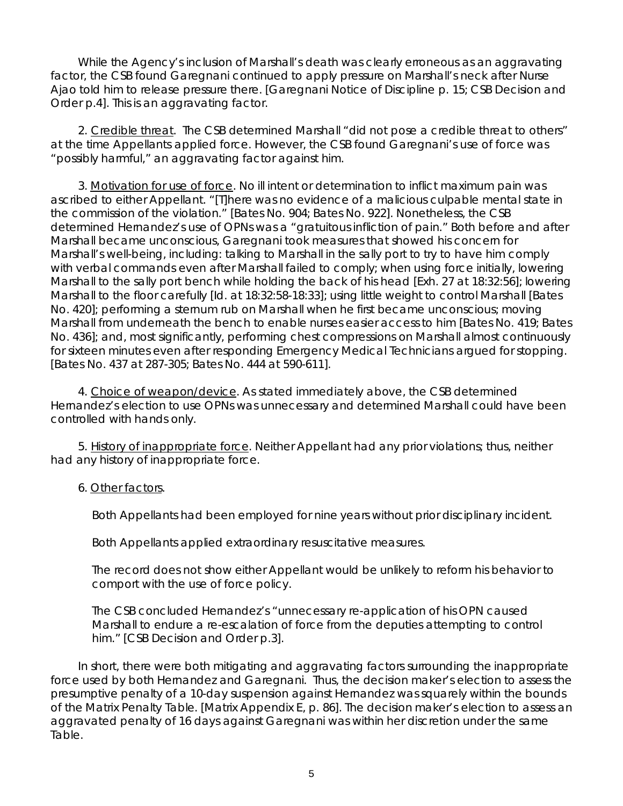While the Agency's inclusion of Marshall's death was clearly erroneous as an aggravating factor, the CSB found Garegnani continued to apply pressure on Marshall's neck after Nurse Ajao told him to release pressure there. [Garegnani Notice of Discipline p. 15; CSB Decision and Order p.4]. This is an aggravating factor.

2. Credible threat. The CSB determined Marshall "did not pose a credible threat to others" at the time Appellants applied force. However, the CSB found Garegnani's use of force was "possibly harmful," an aggravating factor against him.

3. Motivation for use of force. No ill intent or determination to inflict maximum pain was ascribed to either Appellant. "[T]here was no evidence of a malicious culpable mental state in the commission of the violation." [Bates No. 904; Bates No. 922]. Nonetheless, the CSB determined Hernandez's use of OPNs was a "gratuitous infliction of pain." Both before and after Marshall became unconscious, Garegnani took measures that showed his concern for Marshall's well-being, including: talking to Marshall in the sally port to try to have him comply with verbal commands even after Marshall failed to comply; when using force initially, lowering Marshall to the sally port bench while holding the back of his head [Exh. 27 at 18:32:56]; lowering Marshall to the floor carefully [*Id.* at 18:32:58-18:33]; using little weight to control Marshall [Bates No. 420]; performing a sternum rub on Marshall when he first became unconscious; moving Marshall from underneath the bench to enable nurses easier access to him [Bates No. 419; Bates No. 436]; and, most significantly, performing chest compressions on Marshall almost continuously for sixteen minutes even after responding Emergency Medical Technicians argued for stopping. [Bates No. 437 at 287-305; Bates No. 444 at 590-611].

4. Choice of weapon/device. As stated immediately above, the CSB determined Hernandez's election to use OPNs was unnecessary and determined Marshall could have been controlled with hands only.

5. History of inappropriate force. Neither Appellant had any prior violations; thus, neither had any history of inappropriate force.

# 6. Other factors.

Both Appellants had been employed for nine years without prior disciplinary incident.

Both Appellants applied extraordinary resuscitative measures.

The record does not show either Appellant would be unlikely to reform his behavior to comport with the use of force policy.

The CSB concluded Hernandez's "unnecessary re-application of his OPN caused Marshall to endure a re-escalation of force from the deputies attempting to control him." [CSB Decision and Order p.3].

In short, there were both mitigating and aggravating factors surrounding the inappropriate force used by both Hernandez and Garegnani. Thus, the decision maker's election to assess the presumptive penalty of a 10-day suspension against Hernandez was squarely within the bounds of the Matrix Penalty Table. [Matrix Appendix E, p. 86]. The decision maker's election to assess an aggravated penalty of 16 days against Garegnani was within her discretion under the same Table.